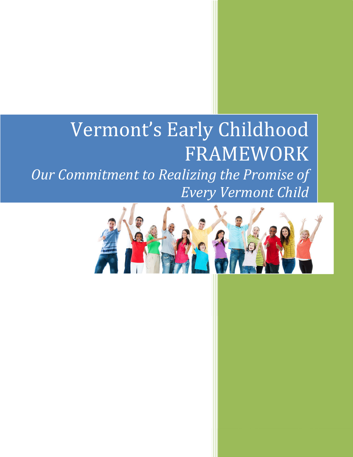# Vermont's Early Childhood FRAMEWORK Our Commitment to Realizing the Promise of Every Vermont Child

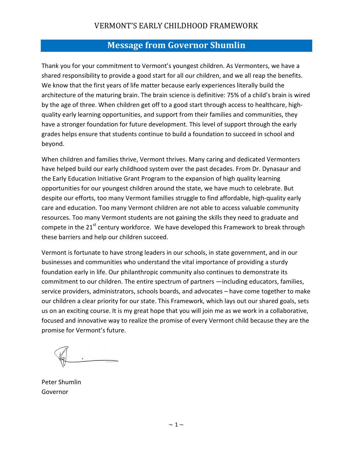## Message from Governor Shumlin

Thank you for your commitment to Vermont's youngest children. As Vermonters, we have a shared responsibility to provide a good start for all our children, and we all reap the benefits. We know that the first years of life matter because early experiences literally build the architecture of the maturing brain. The brain science is definitive: 75% of a child's brain is wired by the age of three. When children get off to a good start through access to healthcare, highquality early learning opportunities, and support from their families and communities, they have a stronger foundation for future development. This level of support through the early grades helps ensure that students continue to build a foundation to succeed in school and beyond.

When children and families thrive, Vermont thrives. Many caring and dedicated Vermonters have helped build our early childhood system over the past decades. From Dr. Dynasaur and the Early Education Initiative Grant Program to the expansion of high quality learning opportunities for our youngest children around the state, we have much to celebrate. But despite our efforts, too many Vermont families struggle to find affordable, high-quality early care and education. Too many Vermont children are not able to access valuable community resources. Too many Vermont students are not gaining the skills they need to graduate and compete in the  $21^{st}$  century workforce. We have developed this Framework to break through these barriers and help our children succeed.

Vermont is fortunate to have strong leaders in our schools, in state government, and in our businesses and communities who understand the vital importance of providing a sturdy foundation early in life. Our philanthropic community also continues to demonstrate its commitment to our children. The entire spectrum of partners —including educators, families, service providers, administrators, schools boards, and advocates – have come together to make our children a clear priority for our state. This Framework, which lays out our shared goals, sets us on an exciting course. It is my great hope that you will join me as we work in a collaborative, focused and innovative way to realize the promise of every Vermont child because they are the promise for Vermont's future.

Peter Shumlin Governor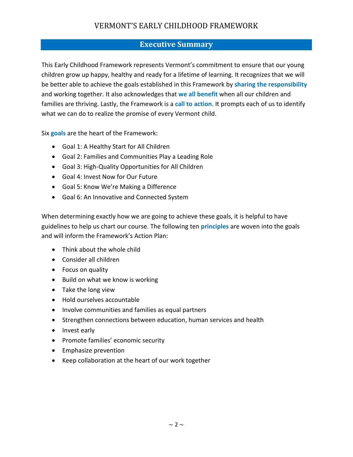#### Executive Summary

This Early Childhood Framework represents Vermont's commitment to ensure that our young children grow up happy, healthy and ready for a lifetime of learning. It recognizes that we will be better able to achieve the goals established in this Framework by sharing the responsibility and working together. It also acknowledges that we all benefit when all our children and families are thriving. Lastly, the Framework is a call to action. It prompts each of us to identify what we can do to realize the promise of every Vermont child.

Six goals are the heart of the Framework:

- Goal 1: A Healthy Start for All Children
- Goal 2: Families and Communities Play a Leading Role
- Goal 3: High-Quality Opportunities for All Children
- Goal 4: Invest Now for Our Future
- Goal 5: Know We're Making a Difference
- Goal 6: An Innovative and Connected System

When determining exactly how we are going to achieve these goals, it is helpful to have guidelines to help us chart our course. The following ten **principles** are woven into the goals and will inform the Framework's Action Plan:

- Think about the whole child
- Consider all children
- Focus on quality
- Build on what we know is working
- Take the long view
- Hold ourselves accountable
- Involve communities and families as equal partners
- Strengthen connections between education, human services and health
- Invest early
- Promote families' economic security
- Emphasize prevention
- Keep collaboration at the heart of our work together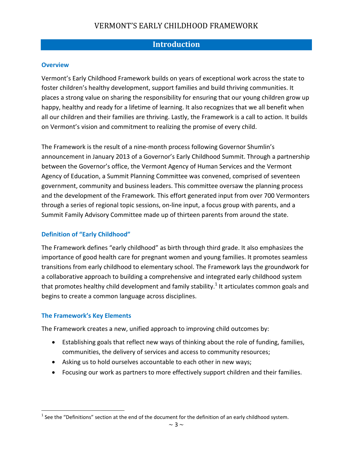#### **Introduction**

#### **Overview**

Vermont's Early Childhood Framework builds on years of exceptional work across the state to foster children's healthy development, support families and build thriving communities. It places a strong value on sharing the responsibility for ensuring that our young children grow up happy, healthy and ready for a lifetime of learning. It also recognizes that we all benefit when all our children and their families are thriving. Lastly, the Framework is a call to action. It builds on Vermont's vision and commitment to realizing the promise of every child.

The Framework is the result of a nine-month process following Governor Shumlin's announcement in January 2013 of a Governor's Early Childhood Summit. Through a partnership between the Governor's office, the Vermont Agency of Human Services and the Vermont Agency of Education, a Summit Planning Committee was convened, comprised of seventeen government, community and business leaders. This committee oversaw the planning process and the development of the Framework. This effort generated input from over 700 Vermonters through a series of regional topic sessions, on-line input, a focus group with parents, and a Summit Family Advisory Committee made up of thirteen parents from around the state.

#### Definition of "Early Childhood"

The Framework defines "early childhood" as birth through third grade. It also emphasizes the importance of good health care for pregnant women and young families. It promotes seamless transitions from early childhood to elementary school. The Framework lays the groundwork for a collaborative approach to building a comprehensive and integrated early childhood system that promotes healthy child development and family stability.<sup>1</sup> It articulates common goals and begins to create a common language across disciplines.

#### The Framework's Key Elements

The Framework creates a new, unified approach to improving child outcomes by:

- Establishing goals that reflect new ways of thinking about the role of funding, families, communities, the delivery of services and access to community resources;
- Asking us to hold ourselves accountable to each other in new ways;
- Focusing our work as partners to more effectively support children and their families.

 1 See the "Definitions" section at the end of the document for the definition of an early childhood system.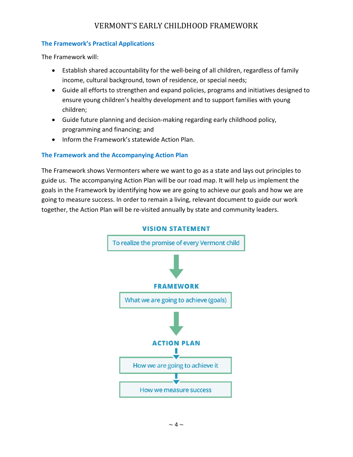#### The Framework's Practical Applications

The Framework will:

- Establish shared accountability for the well-being of all children, regardless of family income, cultural background, town of residence, or special needs;
- Guide all efforts to strengthen and expand policies, programs and initiatives designed to ensure young children's healthy development and to support families with young children;
- Guide future planning and decision-making regarding early childhood policy, programming and financing; and
- Inform the Framework's statewide Action Plan.

#### The Framework and the Accompanying Action Plan

The Framework shows Vermonters where we want to go as a state and lays out principles to guide us. The accompanying Action Plan will be our road map. It will help us implement the goals in the Framework by identifying how we are going to achieve our goals and how we are going to measure success. In order to remain a living, relevant document to guide our work together, the Action Plan will be re-visited annually by state and community leaders.



**VISION STATEMENT**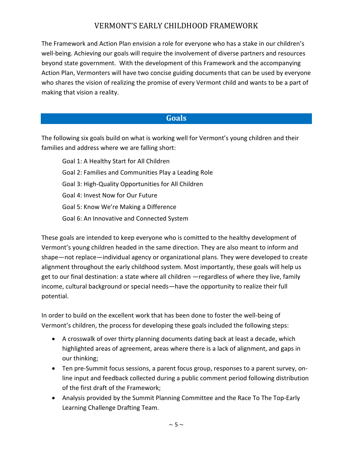The Framework and Action Plan envision a role for everyone who has a stake in our children's well-being. Achieving our goals will require the involvement of diverse partners and resources beyond state government. With the development of this Framework and the accompanying Action Plan, Vermonters will have two concise guiding documents that can be used by everyone who shares the vision of realizing the promise of every Vermont child and wants to be a part of making that vision a reality.

#### **Goals**

The following six goals build on what is working well for Vermont's young children and their families and address where we are falling short:

Goal 1: A Healthy Start for All Children Goal 2: Families and Communities Play a Leading Role Goal 3: High-Quality Opportunities for All Children Goal 4: Invest Now for Our Future Goal 5: Know We're Making a Difference Goal 6: An Innovative and Connected System

These goals are intended to keep everyone who is comitted to the healthy development of Vermont's young children headed in the same direction. They are also meant to inform and shape—not replace—individual agency or organizational plans. They were developed to create alignment throughout the early childhood system. Most importantly, these goals will help us get to our final destination: a state where all children —regardless of where they live, family income, cultural background or special needs—have the opportunity to realize their full potential.

In order to build on the excellent work that has been done to foster the well-being of Vermont's children, the process for developing these goals included the following steps:

- A crosswalk of over thirty planning documents dating back at least a decade, which highlighted areas of agreement, areas where there is a lack of alignment, and gaps in our thinking;
- Ten pre-Summit focus sessions, a parent focus group, responses to a parent survey, online input and feedback collected during a public comment period following distribution of the first draft of the Framework;
- Analysis provided by the Summit Planning Committee and the Race To The Top-Early Learning Challenge Drafting Team.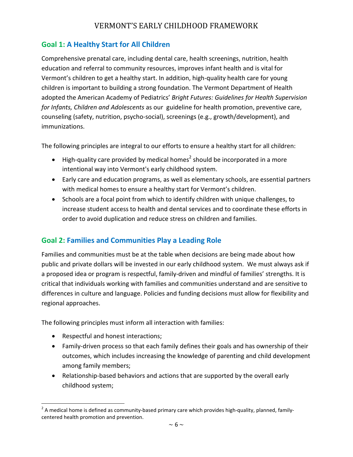#### Goal 1: A Healthy Start for All Children

Comprehensive prenatal care, including dental care, health screenings, nutrition, health education and referral to community resources, improves infant health and is vital for Vermont's children to get a healthy start. In addition, high-quality health care for young children is important to building a strong foundation. The Vermont Department of Health adopted the American Academy of Pediatrics' Bright Futures: Guidelines for Health Supervision for Infants, Children and Adolescents as our guideline for health promotion, preventive care, counseling (safety, nutrition, psycho-social), screenings (e.g., growth/development), and immunizations.

The following principles are integral to our efforts to ensure a healthy start for all children:

- $\bullet$  High-quality care provided by medical homes<sup>2</sup> should be incorporated in a more intentional way into Vermont's early childhood system.
- Early care and education programs, as well as elementary schools, are essential partners with medical homes to ensure a healthy start for Vermont's children.
- Schools are a focal point from which to identify children with unique challenges, to increase student access to health and dental services and to coordinate these efforts in order to avoid duplication and reduce stress on children and families.

## Goal 2: Families and Communities Play a Leading Role

Families and communities must be at the table when decisions are being made about how public and private dollars will be invested in our early childhood system. We must always ask if a proposed idea or program is respectful, family-driven and mindful of families' strengths. It is critical that individuals working with families and communities understand and are sensitive to differences in culture and language. Policies and funding decisions must allow for flexibility and regional approaches.

The following principles must inform all interaction with families:

• Respectful and honest interactions;

.<br>-

- Family-driven process so that each family defines their goals and has ownership of their outcomes, which includes increasing the knowledge of parenting and child development among family members;
- Relationship-based behaviors and actions that are supported by the overall early childhood system;

 $^2$  A medical home is defined as community-based primary care which provides high-quality, planned, familycentered health promotion and prevention.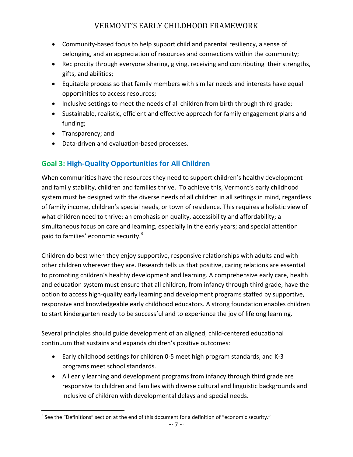- Community-based focus to help support child and parental resiliency, a sense of belonging, and an appreciation of resources and connections within the community;
- Reciprocity through everyone sharing, giving, receiving and contributing their strengths, gifts, and abilities;
- Equitable process so that family members with similar needs and interests have equal opportinities to access resources;
- Inclusive settings to meet the needs of all children from birth through third grade;
- Sustainable, realistic, efficient and effective approach for family engagement plans and funding;
- Transparency; and
- Data-driven and evaluation-based processes.

## Goal 3: High-Quality Opportunities for All Children

When communities have the resources they need to support children's healthy development and family stability, children and families thrive. To achieve this, Vermont's early childhood system must be designed with the diverse needs of all children in all settings in mind, regardless of family income, children's special needs, or town of residence. This requires a holistic view of what children need to thrive; an emphasis on quality, accessibility and affordability; a simultaneous focus on care and learning, especially in the early years; and special attention paid to families' economic security.<sup>3</sup>

Children do best when they enjoy supportive, responsive relationships with adults and with other children wherever they are. Research tells us that positive, caring relations are essential to promoting children's healthy development and learning. A comprehensive early care, health and education system must ensure that all children, from infancy through third grade, have the option to access high-quality early learning and development programs staffed by supportive, responsive and knowledgeable early childhood educators. A strong foundation enables children to start kindergarten ready to be successful and to experience the joy of lifelong learning.

Several principles should guide development of an aligned, child-centered educational continuum that sustains and expands children's positive outcomes:

- Early childhood settings for children 0-5 meet high program standards, and K-3 programs meet school standards.
- All early learning and development programs from infancy through third grade are responsive to children and families with diverse cultural and linguistic backgrounds and inclusive of children with developmental delays and special needs.

 3 See the "Definitions" section at the end of this document for a definition of "economic security."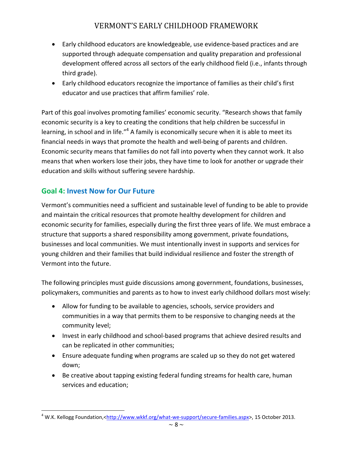- Early childhood educators are knowledgeable, use evidence-based practices and are supported through adequate compensation and quality preparation and professional development offered across all sectors of the early childhood field (i.e., infants through third grade).
- Early childhood educators recognize the importance of families as their child's first educator and use practices that affirm families' role.

Part of this goal involves promoting families' economic security. "Research shows that family economic security is a key to creating the conditions that help children be successful in learning, in school and in life."<sup>4</sup> A family is economically secure when it is able to meet its financial needs in ways that promote the health and well-being of parents and children. Economic security means that families do not fall into poverty when they cannot work. It also means that when workers lose their jobs, they have time to look for another or upgrade their education and skills without suffering severe hardship.

## Goal 4: Invest Now for Our Future

<u>.</u>

Vermont's communities need a sufficient and sustainable level of funding to be able to provide and maintain the critical resources that promote healthy development for children and economic security for families, especially during the first three years of life. We must embrace a structure that supports a shared responsibility among government, private foundations, businesses and local communities. We must intentionally invest in supports and services for young children and their families that build individual resilience and foster the strength of Vermont into the future.

The following principles must guide discussions among government, foundations, businesses, policymakers, communities and parents as to how to invest early childhood dollars most wisely:

- Allow for funding to be available to agencies, schools, service providers and communities in a way that permits them to be responsive to changing needs at the community level;
- Invest in early childhood and school-based programs that achieve desired results and can be replicated in other communities;
- Ensure adequate funding when programs are scaled up so they do not get watered down;
- Be creative about tapping existing federal funding streams for health care, human services and education;

<sup>&</sup>lt;sup>4</sup> W.K. Kellogg Foundation,<<u>http://www.wkkf.org/what-we-support/secure-families.aspx</u>>, 15 October 2013.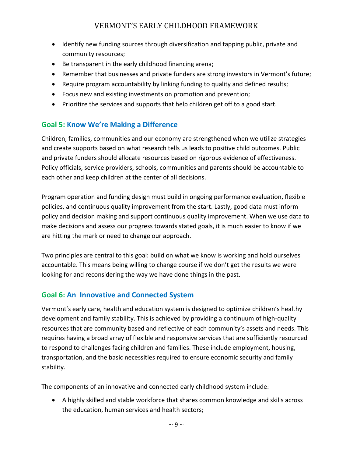- Identify new funding sources through diversification and tapping public, private and community resources;
- Be transparent in the early childhood financing arena;
- Remember that businesses and private funders are strong investors in Vermont's future;
- Require program accountability by linking funding to quality and defined results;
- Focus new and existing investments on promotion and prevention;
- Prioritize the services and supports that help children get off to a good start.

#### Goal 5: Know We're Making a Difference

Children, families, communities and our economy are strengthened when we utilize strategies and create supports based on what research tells us leads to positive child outcomes. Public and private funders should allocate resources based on rigorous evidence of effectiveness. Policy officials, service providers, schools, communities and parents should be accountable to each other and keep children at the center of all decisions.

Program operation and funding design must build in ongoing performance evaluation, flexible policies, and continuous quality improvement from the start. Lastly, good data must inform policy and decision making and support continuous quality improvement. When we use data to make decisions and assess our progress towards stated goals, it is much easier to know if we are hitting the mark or need to change our approach.

Two principles are central to this goal: build on what we know is working and hold ourselves accountable. This means being willing to change course if we don't get the results we were looking for and reconsidering the way we have done things in the past.

#### Goal 6: An Innovative and Connected System

Vermont's early care, health and education system is designed to optimize children's healthy development and family stability. This is achieved by providing a continuum of high-quality resources that are community based and reflective of each community's assets and needs. This requires having a broad array of flexible and responsive services that are sufficiently resourced to respond to challenges facing children and families. These include employment, housing, transportation, and the basic necessities required to ensure economic security and family stability.

The components of an innovative and connected early childhood system include:

• A highly skilled and stable workforce that shares common knowledge and skills across the education, human services and health sectors;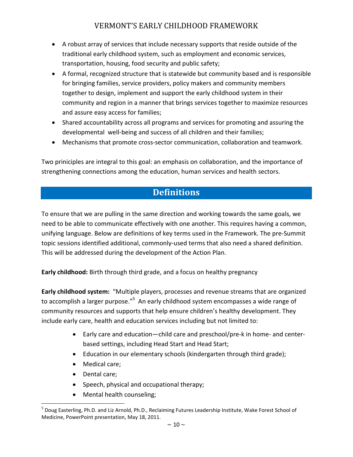- A robust array of services that include necessary supports that reside outside of the traditional early childhood system, such as employment and economic services, transportation, housing, food security and public safety;
- A formal, recognized structure that is statewide but community based and is responsible for bringing families, service providers, policy makers and community members together to design, implement and support the early childhood system in their community and region in a manner that brings services together to maximize resources and assure easy access for families;
- Shared accountability across all programs and services for promoting and assuring the developmental well-being and success of all children and their families;
- Mechanisms that promote cross-sector communication, collaboration and teamwork.

Two priniciples are integral to this goal: an emphasis on collaboration, and the importance of strengthening connections among the education, human services and health sectors.

# **Definitions**

To ensure that we are pulling in the same direction and working towards the same goals, we need to be able to communicate effectively with one another. This requires having a common, unifying language. Below are definitions of key terms used in the Framework. The pre-Summit topic sessions identified additional, commonly-used terms that also need a shared definition. This will be addressed during the development of the Action Plan.

Early childhood: Birth through third grade, and a focus on healthy pregnancy

Early childhood system: "Multiple players, processes and revenue streams that are organized to accomplish a larger purpose."<sup>5</sup> An early childhood system encompasses a wide range of community resources and supports that help ensure children's healthy development. They include early care, health and education services including but not limited to:

- Early care and education—child care and preschool/pre-k in home- and centerbased settings, including Head Start and Head Start;
- Education in our elementary schools (kindergarten through third grade);
- Medical care;
- Dental care;

.<br>-

- Speech, physical and occupational therapy;
- Mental health counseling;

<sup>&</sup>lt;sup>5</sup> Doug Easterling, Ph.D. and Liz Arnold, Ph.D., Reclaiming Futures Leadership Institute, Wake Forest School of Medicine, PowerPoint presentation, May 18, 2011.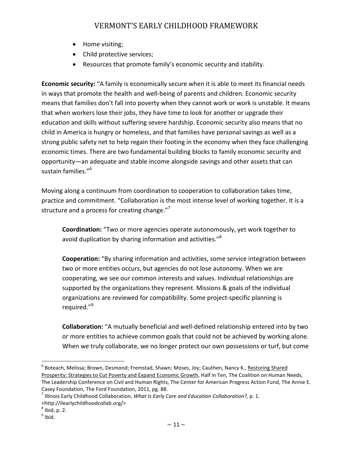- Home visiting;
- Child protective services;
- Resources that promote family's economic security and stability.

Economic security: "A family is economically secure when it is able to meet its financial needs in ways that promote the health and well-being of parents and children. Economic security means that families don't fall into poverty when they cannot work or work is unstable. It means that when workers lose their jobs, they have time to look for another or upgrade their education and skills without suffering severe hardship. Economic security also means that no child in America is hungry or homeless, and that families have personal savings as well as a strong public safety net to help regain their footing in the economy when they face challenging economic times. There are two fundamental building blocks to family economic security and opportunity—an adequate and stable income alongside savings and other assets that can sustain families."<sup>6</sup>

Moving along a continuum from coordination to cooperation to collaboration takes time, practice and commitment. "Collaboration is the most intense level of working together. It is a structure and a process for creating change. $"$ 

Coordination: "Two or more agencies operate autonomously, yet work together to avoid duplication by sharing information and activities."<sup>8</sup>

Cooperation: "By sharing information and activities, some service integration between two or more entities occurs, but agencies do not lose autonomy. When we are cooperating, we see our common interests and values. Individual relationships are supported by the organizations they represent. Missions & goals of the individual organizations are reviewed for compatibility. Some project-specific planning is required."<sup>9</sup>

Collaboration: "A mutually beneficial and well-defined relationship entered into by two or more entities to achieve common goals that could not be achieved by working alone. When we truly collaborate, we no longer protect our own possessions or turf, but come

<u>.</u>

<sup>&</sup>lt;sup>6</sup> Boteach, Melissa; Brown, Desmond; Fremstad, Shawn; Moses, Joy; Cauthen, Nancy K., <u>Restoring Shared</u> Prosperity: Strategies to Cut Poverty and Expand Economic Growth, Half in Ten, The Coalition on Human Needs, The Leadership Conference on Civil and Human Rights, The Center for American Progress Action Fund, The Annie E. Casey Foundation, The Ford Foundation, 2011, pg. 88.

<sup>&</sup>lt;sup>7</sup> Illinois Early Childhood Collaboration, What Is Early Care and Education Collaboration?, p. 1. <http://ilearlychildhoodcollab.org/>

 $^8$  Ibid, p. 2.

 $<sup>9</sup>$  Ibid.</sup>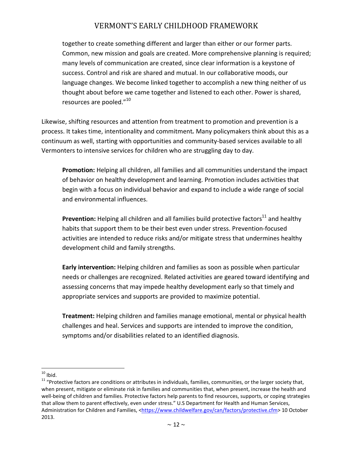together to create something different and larger than either or our former parts. Common, new mission and goals are created. More comprehensive planning is required; many levels of communication are created, since clear information is a keystone of success. Control and risk are shared and mutual. In our collaborative moods, our language changes. We become linked together to accomplish a new thing neither of us thought about before we came together and listened to each other. Power is shared, resources are pooled."<sup>10</sup>

Likewise, shifting resources and attention from treatment to promotion and prevention is a process. It takes time, intentionality and commitment. Many policymakers think about this as a continuum as well, starting with opportunities and community-based services available to all Vermonters to intensive services for children who are struggling day to day.

Promotion: Helping all children, all families and all communities understand the impact of behavior on healthy development and learning. Promotion includes activities that begin with a focus on individual behavior and expand to include a wide range of social and environmental influences.

Prevention: Helping all children and all families build protective factors $^{11}$  and healthy habits that support them to be their best even under stress. Prevention-focused activities are intended to reduce risks and/or mitigate stress that undermines healthy development child and family strengths.

Early intervention: Helping children and families as soon as possible when particular needs or challenges are recognized. Related activities are geared toward identifying and assessing concerns that may impede healthy development early so that timely and appropriate services and supports are provided to maximize potential.

Treatment: Helping children and families manage emotional, mental or physical health challenges and heal. Services and supports are intended to improve the condition, symptoms and/or disabilities related to an identified diagnosis.

 $10$  Ibid.

-

 $11$  "Protective factors are conditions or attributes in individuals, families, communities, or the larger society that, when present, mitigate or eliminate risk in families and communities that, when present, increase the health and well-being of children and families. Protective factors help parents to find resources, supports, or coping strategies that allow them to parent effectively, even under stress." U.S Department for Health and Human Services, Administration for Children and Families, <https://www.childwelfare.gov/can/factors/protective.cfm> 10 October 2013.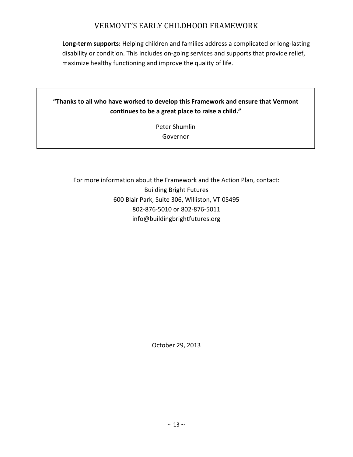Long-term supports: Helping children and families address a complicated or long-lasting disability or condition. This includes on-going services and supports that provide relief, maximize healthy functioning and improve the quality of life.

#### "Thanks to all who have worked to develop this Framework and ensure that Vermont continues to be a great place to raise a child."

Peter Shumlin Governor

For more information about the Framework and the Action Plan, contact: Building Bright Futures 600 Blair Park, Suite 306, Williston, VT 05495 802-876-5010 or 802-876-5011 info@buildingbrightfutures.org

October 29, 2013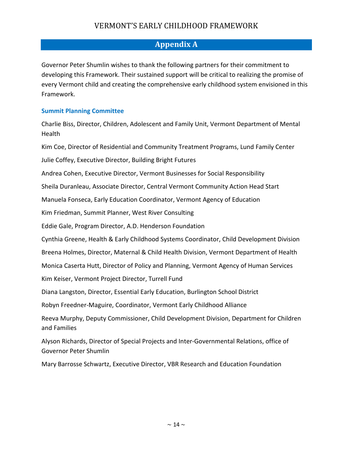## Appendix A

Governor Peter Shumlin wishes to thank the following partners for their commitment to developing this Framework. Their sustained support will be critical to realizing the promise of every Vermont child and creating the comprehensive early childhood system envisioned in this Framework.

#### Summit Planning Committee

Charlie Biss, Director, Children, Adolescent and Family Unit, Vermont Department of Mental Health

Kim Coe, Director of Residential and Community Treatment Programs, Lund Family Center

Julie Coffey, Executive Director, Building Bright Futures

Andrea Cohen, Executive Director, Vermont Businesses for Social Responsibility

Sheila Duranleau, Associate Director, Central Vermont Community Action Head Start

Manuela Fonseca, Early Education Coordinator, Vermont Agency of Education

Kim Friedman, Summit Planner, West River Consulting

Eddie Gale, Program Director, A.D. Henderson Foundation

Cynthia Greene, Health & Early Childhood Systems Coordinator, Child Development Division

Breena Holmes, Director, Maternal & Child Health Division, Vermont Department of Health

Monica Caserta Hutt, Director of Policy and Planning, Vermont Agency of Human Services

Kim Keiser, Vermont Project Director, Turrell Fund

Diana Langston, Director, Essential Early Education, Burlington School District

Robyn Freedner-Maguire, Coordinator, Vermont Early Childhood Alliance

Reeva Murphy, Deputy Commissioner, Child Development Division, Department for Children and Families

Alyson Richards, Director of Special Projects and Inter-Governmental Relations, office of Governor Peter Shumlin

Mary Barrosse Schwartz, Executive Director, VBR Research and Education Foundation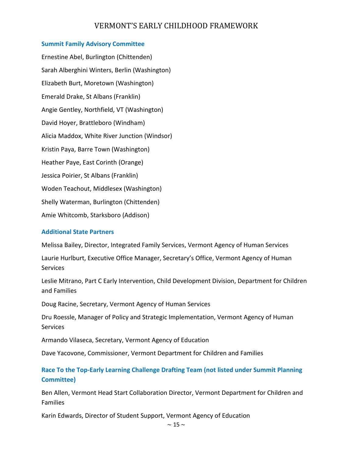#### Summit Family Advisory Committee

Ernestine Abel, Burlington (Chittenden) Sarah Alberghini Winters, Berlin (Washington) Elizabeth Burt, Moretown (Washington) Emerald Drake, St Albans (Franklin) Angie Gentley, Northfield, VT (Washington) David Hoyer, Brattleboro (Windham) Alicia Maddox, White River Junction (Windsor) Kristin Paya, Barre Town (Washington) Heather Paye, East Corinth (Orange) Jessica Poirier, St Albans (Franklin) Woden Teachout, Middlesex (Washington) Shelly Waterman, Burlington (Chittenden) Amie Whitcomb, Starksboro (Addison)

#### Additional State Partners

Melissa Bailey, Director, Integrated Family Services, Vermont Agency of Human Services

Laurie Hurlburt, Executive Office Manager, Secretary's Office, Vermont Agency of Human **Services** 

Leslie Mitrano, Part C Early Intervention, Child Development Division, Department for Children and Families

Doug Racine, Secretary, Vermont Agency of Human Services

Dru Roessle, Manager of Policy and Strategic Implementation, Vermont Agency of Human Services

Armando Vilaseca, Secretary, Vermont Agency of Education

Dave Yacovone, Commissioner, Vermont Department for Children and Families

Race To the Top-Early Learning Challenge Drafting Team (not listed under Summit Planning Committee)

Ben Allen, Vermont Head Start Collaboration Director, Vermont Department for Children and Families

Karin Edwards, Director of Student Support, Vermont Agency of Education

 $\sim$  15  $\sim$